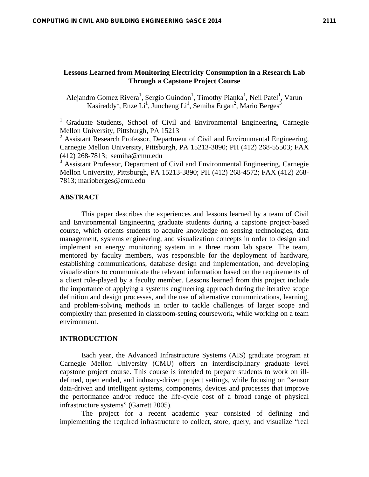# **Lessons Learned from Monitoring Electricity Consumption in a Research Lab Through a Capstone Project Course**

Alejandro Gomez Rivera<sup>1</sup>, Sergio Guindon<sup>1</sup>, Timothy Pianka<sup>1</sup>, Neil Patel<sup>1</sup>, Varun Kasireddy<sup>1</sup>, Enze Li<sup>1</sup>, Juncheng Li<sup>1</sup>, Semiha Ergan<sup>2</sup>, Mario Berges<sup>3</sup>

<sup>1</sup> Graduate Students, School of Civil and Environmental Engineering, Carnegie Mellon University, Pittsburgh, PA 15213

<sup>2</sup> Assistant Research Professor, Department of Civil and Environmental Engineering, Carnegie Mellon University, Pittsburgh, PA 15213-3890; PH (412) 268-55503; FAX (412) 268-7813; semiha@cmu.edu

3 Assistant Professor, Department of Civil and Environmental Engineering, Carnegie Mellon University, Pittsburgh, PA 15213-3890; PH (412) 268-4572; FAX (412) 268- 7813; marioberges@cmu.edu

#### **ABSTRACT**

This paper describes the experiences and lessons learned by a team of Civil and Environmental Engineering graduate students during a capstone project-based course, which orients students to acquire knowledge on sensing technologies, data management, systems engineering, and visualization concepts in order to design and implement an energy monitoring system in a three room lab space. The team, mentored by faculty members, was responsible for the deployment of hardware, establishing communications, database design and implementation, and developing visualizations to communicate the relevant information based on the requirements of a client role-played by a faculty member. Lessons learned from this project include the importance of applying a systems engineering approach during the iterative scope definition and design processes, and the use of alternative communications, learning, and problem-solving methods in order to tackle challenges of larger scope and complexity than presented in classroom-setting coursework, while working on a team environment.

## **INTRODUCTION**

Each year, the Advanced Infrastructure Systems (AIS) graduate program at Carnegie Mellon University (CMU) offers an interdisciplinary graduate level capstone project course. This course is intended to prepare students to work on illdefined, open ended, and industry-driven project settings, while focusing on "sensor data-driven and intelligent systems, components, devices and processes that improve the performance and/or reduce the life-cycle cost of a broad range of physical infrastructure systems" (Garrett 2005).

The project for a recent academic year consisted of defining and implementing the required infrastructure to collect, store, query, and visualize "real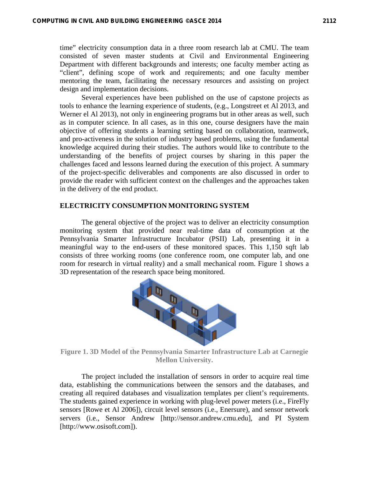time" electricity consumption data in a three room research lab at CMU. The team consisted of seven master students at Civil and Environmental Engineering Department with different backgrounds and interests; one faculty member acting as "client", defining scope of work and requirements; and one faculty member mentoring the team, facilitating the necessary resources and assisting on project design and implementation decisions.

Several experiences have been published on the use of capstone projects as tools to enhance the learning experience of students, (e.g., Longstreet et Al 2013, and Werner el Al 2013), not only in engineering programs but in other areas as well, such as in computer science. In all cases, as in this one, course designers have the main objective of offering students a learning setting based on collaboration, teamwork, and pro-activeness in the solution of industry based problems, using the fundamental knowledge acquired during their studies. The authors would like to contribute to the understanding of the benefits of project courses by sharing in this paper the challenges faced and lessons learned during the execution of this project. A summary of the project-specific deliverables and components are also discussed in order to provide the reader with sufficient context on the challenges and the approaches taken in the delivery of the end product.

## **ELECTRICITY CONSUMPTION MONITORING SYSTEM**

The general objective of the project was to deliver an electricity consumption monitoring system that provided near real-time data of consumption at the Pennsylvania Smarter Infrastructure Incubator (PSII) Lab, presenting it in a meaningful way to the end-users of these monitored spaces. This 1,150 sqft lab consists of three working rooms (one conference room, one computer lab, and one room for research in virtual reality) and a small mechanical room. Figure 1 shows a 3D representation of the research space being monitored.



**Figure 1. 3D Model of the Pennsylvania Smarter Infrastructure Lab at Carnegie Mellon University.**

The project included the installation of sensors in order to acquire real time data, establishing the communications between the sensors and the databases, and creating all required databases and visualization templates per client's requirements. The students gained experience in working with plug-level power meters (i.e., FireFly sensors [Rowe et Al 2006]), circuit level sensors (i.e., Enersure), and sensor network servers (i.e., Sensor Andrew [http://sensor.andrew.cmu.edu], and PI System [http://www.osisoft.com]).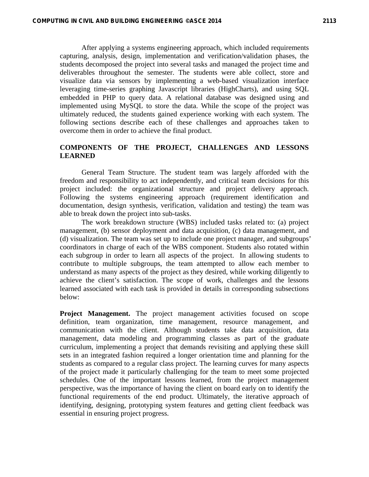After applying a systems engineering approach, which included requirements capturing, analysis, design, implementation and verification/validation phases, the students decomposed the project into several tasks and managed the project time and deliverables throughout the semester. The students were able collect, store and visualize data via sensors by implementing a web-based visualization interface leveraging time-series graphing Javascript libraries (HighCharts), and using SQL embedded in PHP to query data. A relational database was designed using and implemented using MySQL to store the data. While the scope of the project was ultimately reduced, the students gained experience working with each system. The following sections describe each of these challenges and approaches taken to overcome them in order to achieve the final product.

# **COMPONENTS OF THE PROJECT, CHALLENGES AND LESSONS LEARNED**

General Team Structure. The student team was largely afforded with the freedom and responsibility to act independently, and critical team decisions for this project included: the organizational structure and project delivery approach. Following the systems engineering approach (requirement identification and documentation, design synthesis, verification, validation and testing) the team was able to break down the project into sub-tasks.

The work breakdown structure (WBS) included tasks related to: (a) project management, (b) sensor deployment and data acquisition, (c) data management, and (d) visualization. The team was set up to include one project manager, and subgroups' coordinators in charge of each of the WBS component. Students also rotated within each subgroup in order to learn all aspects of the project. In allowing students to contribute to multiple subgroups, the team attempted to allow each member to understand as many aspects of the project as they desired, while working diligently to achieve the client's satisfaction. The scope of work, challenges and the lessons learned associated with each task is provided in details in corresponding subsections below:

**Project Management.** The project management activities focused on scope definition, team organization, time management, resource management, and communication with the client. Although students take data acquisition, data management, data modeling and programming classes as part of the graduate curriculum, implementing a project that demands revisiting and applying these skill sets in an integrated fashion required a longer orientation time and planning for the students as compared to a regular class project. The learning curves for many aspects of the project made it particularly challenging for the team to meet some projected schedules. One of the important lessons learned, from the project management perspective, was the importance of having the client on board early on to identify the functional requirements of the end product. Ultimately, the iterative approach of identifying, designing, prototyping system features and getting client feedback was essential in ensuring project progress.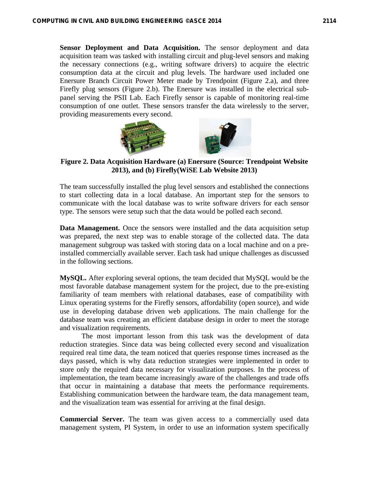**Sensor Deployment and Data Acquisition.** The sensor deployment and data acquisition team was tasked with installing circuit and plug-level sensors and making the necessary connections (e.g., writing software drivers) to acquire the electric consumption data at the circuit and plug levels. The hardware used included one Enersure Branch Circuit Power Meter made by Trendpoint (Figure 2.a), and three Firefly plug sensors (Figure 2.b). The Enersure was installed in the electrical subpanel serving the PSII Lab. Each Firefly sensor is capable of monitoring real-time consumption of one outlet. These sensors transfer the data wirelessly to the server, providing measurements every second.



 **Figure 2. Data Acquisition Hardware (a) Enersure (Source: Trendpoint Website 2013), and (b) Firefly(WiSE Lab Website 2013)** 

The team successfully installed the plug level sensors and established the connections to start collecting data in a local database. An important step for the sensors to communicate with the local database was to write software drivers for each sensor type. The sensors were setup such that the data would be polled each second.

**Data Management.** Once the sensors were installed and the data acquisition setup was prepared, the next step was to enable storage of the collected data. The data management subgroup was tasked with storing data on a local machine and on a preinstalled commercially available server. Each task had unique challenges as discussed in the following sections.

**MySQL.** After exploring several options, the team decided that MySQL would be the most favorable database management system for the project, due to the pre-existing familiarity of team members with relational databases, ease of compatibility with Linux operating systems for the Firefly sensors, affordability (open source), and wide use in developing database driven web applications. The main challenge for the database team was creating an efficient database design in order to meet the storage and visualization requirements.

The most important lesson from this task was the development of data reduction strategies. Since data was being collected every second and visualization required real time data, the team noticed that queries response times increased as the days passed, which is why data reduction strategies were implemented in order to store only the required data necessary for visualization purposes. In the process of implementation, the team became increasingly aware of the challenges and trade offs that occur in maintaining a database that meets the performance requirements. Establishing communication between the hardware team, the data management team, and the visualization team was essential for arriving at the final design.

**Commercial Server.** The team was given access to a commercially used data management system, PI System, in order to use an information system specifically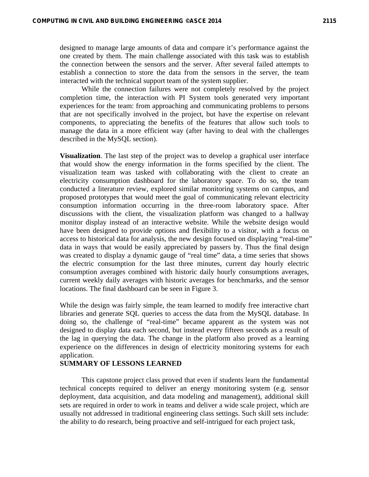designed to manage large amounts of data and compare it's performance against the one created by them. The main challenge associated with this task was to establish the connection between the sensors and the server. After several failed attempts to establish a connection to store the data from the sensors in the server, the team interacted with the technical support team of the system supplier.

While the connection failures were not completely resolved by the project completion time, the interaction with PI System tools generated very important experiences for the team: from approaching and communicating problems to persons that are not specifically involved in the project, but have the expertise on relevant components, to appreciating the benefits of the features that allow such tools to manage the data in a more efficient way (after having to deal with the challenges described in the MySQL section).

**Visualization**. The last step of the project was to develop a graphical user interface that would show the energy information in the forms specified by the client. The visualization team was tasked with collaborating with the client to create an electricity consumption dashboard for the laboratory space. To do so, the team conducted a literature review, explored similar monitoring systems on campus, and proposed prototypes that would meet the goal of communicating relevant electricity consumption information occurring in the three-room laboratory space. After discussions with the client, the visualization platform was changed to a hallway monitor display instead of an interactive website. While the website design would have been designed to provide options and flexibility to a visitor, with a focus on access to historical data for analysis, the new design focused on displaying "real-time" data in ways that would be easily appreciated by passers by. Thus the final design was created to display a dynamic gauge of "real time" data, a time series that shows the electric consumption for the last three minutes, current day hourly electric consumption averages combined with historic daily hourly consumptions averages, current weekly daily averages with historic averages for benchmarks, and the sensor locations. The final dashboard can be seen in Figure 3.

While the design was fairly simple, the team learned to modify free interactive chart libraries and generate SQL queries to access the data from the MySQL database. In doing so, the challenge of "real-time" became apparent as the system was not designed to display data each second, but instead every fifteen seconds as a result of the lag in querying the data. The change in the platform also proved as a learning experience on the differences in design of electricity monitoring systems for each application.

### **SUMMARY OF LESSONS LEARNED**

This capstone project class proved that even if students learn the fundamental technical concepts required to deliver an energy monitoring system (e.g. sensor deployment, data acquisition, and data modeling and management), additional skill sets are required in order to work in teams and deliver a wide scale project, which are usually not addressed in traditional engineering class settings. Such skill sets include: the ability to do research, being proactive and self-intrigued for each project task,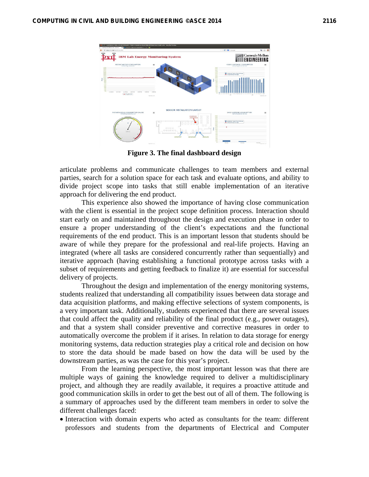

**Figure 3. The final dashboard design**

articulate problems and communicate challenges to team members and external parties, search for a solution space for each task and evaluate options, and ability to divide project scope into tasks that still enable implementation of an iterative approach for delivering the end product.

This experience also showed the importance of having close communication with the client is essential in the project scope definition process. Interaction should start early on and maintained throughout the design and execution phase in order to ensure a proper understanding of the client's expectations and the functional requirements of the end product. This is an important lesson that students should be aware of while they prepare for the professional and real-life projects. Having an integrated (where all tasks are considered concurrently rather than sequentially) and iterative approach (having establishing a functional prototype across tasks with a subset of requirements and getting feedback to finalize it) are essential for successful delivery of projects.

Throughout the design and implementation of the energy monitoring systems, students realized that understanding all compatibility issues between data storage and data acquisition platforms, and making effective selections of system components, is a very important task. Additionally, students experienced that there are several issues that could affect the quality and reliability of the final product (e.g., power outages), and that a system shall consider preventive and corrective measures in order to automatically overcome the problem if it arises. In relation to data storage for energy monitoring systems, data reduction strategies play a critical role and decision on how to store the data should be made based on how the data will be used by the downstream parties, as was the case for this year's project.

From the learning perspective, the most important lesson was that there are multiple ways of gaining the knowledge required to deliver a multidisciplinary project, and although they are readily available, it requires a proactive attitude and good communication skills in order to get the best out of all of them. The following is a summary of approaches used by the different team members in order to solve the different challenges faced:

• Interaction with domain experts who acted as consultants for the team: different professors and students from the departments of Electrical and Computer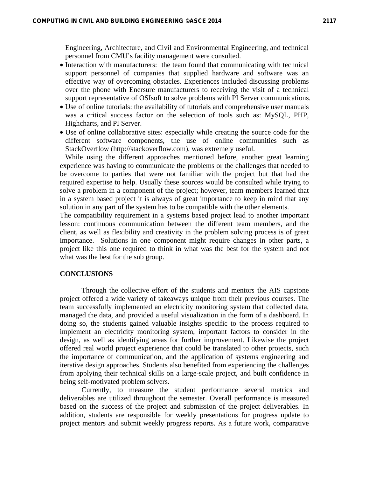Engineering, Architecture, and Civil and Environmental Engineering, and technical personnel from CMU's facility management were consulted.

- Interaction with manufacturers: the team found that communicating with technical support personnel of companies that supplied hardware and software was an effective way of overcoming obstacles. Experiences included discussing problems over the phone with Enersure manufacturers to receiving the visit of a technical support representative of OSIsoft to solve problems with PI Server communications.
- Use of online tutorials: the availability of tutorials and comprehensive user manuals was a critical success factor on the selection of tools such as: MySQL, PHP, Highcharts, and PI Server.
- Use of online collaborative sites: especially while creating the source code for the different software components, the use of online communities such as StackOverflow (http://stackoverflow.com), was extremely useful.

While using the different approaches mentioned before, another great learning experience was having to communicate the problems or the challenges that needed to be overcome to parties that were not familiar with the project but that had the required expertise to help. Usually these sources would be consulted while trying to solve a problem in a component of the project; however, team members learned that in a system based project it is always of great importance to keep in mind that any solution in any part of the system has to be compatible with the other elements.

The compatibility requirement in a systems based project lead to another important lesson: continuous communication between the different team members, and the client, as well as flexibility and creativity in the problem solving process is of great importance. Solutions in one component might require changes in other parts, a project like this one required to think in what was the best for the system and not what was the best for the sub group.

### **CONCLUSIONS**

Through the collective effort of the students and mentors the AIS capstone project offered a wide variety of takeaways unique from their previous courses. The team successfully implemented an electricity monitoring system that collected data, managed the data, and provided a useful visualization in the form of a dashboard. In doing so, the students gained valuable insights specific to the process required to implement an electricity monitoring system, important factors to consider in the design, as well as identifying areas for further improvement. Likewise the project offered real world project experience that could be translated to other projects, such the importance of communication, and the application of systems engineering and iterative design approaches. Students also benefited from experiencing the challenges from applying their technical skills on a large-scale project, and built confidence in being self-motivated problem solvers.

Currently, to measure the student performance several metrics and deliverables are utilized throughout the semester. Overall performance is measured based on the success of the project and submission of the project deliverables. In addition, students are responsible for weekly presentations for progress update to project mentors and submit weekly progress reports. As a future work, comparative